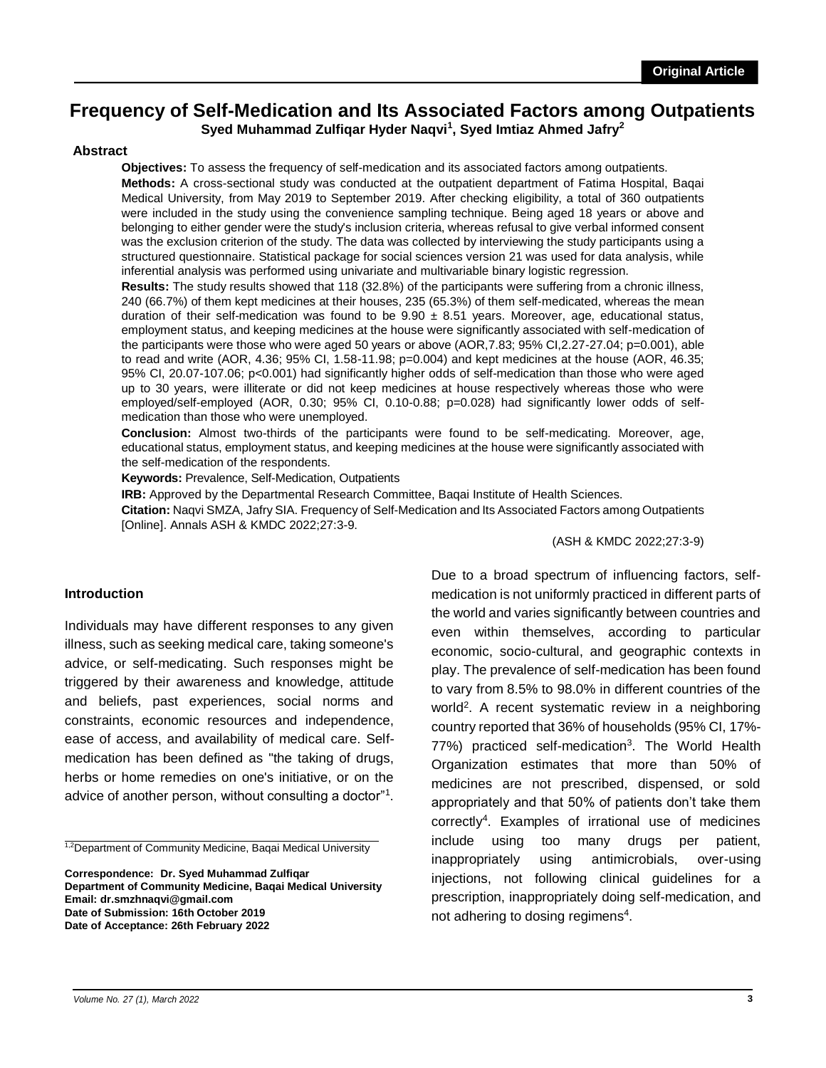## **Frequency of Self-Medication and Its Associated Factors among Outpatients Syed Muhammad Zulfiqar Hyder Naqvi<sup>1</sup> , Syed Imtiaz Ahmed Jafry<sup>2</sup>**

#### **Abstract**

**Objectives:** To assess the frequency of self-medication and its associated factors among outpatients.

**Methods:** A cross-sectional study was conducted at the outpatient department of Fatima Hospital, Baqai Medical University, from May 2019 to September 2019. After checking eligibility, a total of 360 outpatients were included in the study using the convenience sampling technique. Being aged 18 years or above and belonging to either gender were the study's inclusion criteria, whereas refusal to give verbal informed consent was the exclusion criterion of the study. The data was collected by interviewing the study participants using a structured questionnaire. Statistical package for social sciences version 21 was used for data analysis, while inferential analysis was performed using univariate and multivariable binary logistic regression.

**Results:** The study results showed that 118 (32.8%) of the participants were suffering from a chronic illness, 240 (66.7%) of them kept medicines at their houses, 235 (65.3%) of them self-medicated, whereas the mean duration of their self-medication was found to be  $9.90 \pm 8.51$  years. Moreover, age, educational status, employment status, and keeping medicines at the house were significantly associated with self-medication of the participants were those who were aged 50 years or above (AOR,7.83; 95% CI,2.27-27.04; p=0.001), able to read and write (AOR, 4.36; 95% CI, 1.58-11.98; p=0.004) and kept medicines at the house (AOR, 46.35; 95% CI, 20.07-107.06; p<0.001) had significantly higher odds of self-medication than those who were aged up to 30 years, were illiterate or did not keep medicines at house respectively whereas those who were employed/self-employed (AOR, 0.30; 95% CI, 0.10-0.88; p=0.028) had significantly lower odds of selfmedication than those who were unemployed.

**Conclusion:** Almost two-thirds of the participants were found to be self-medicating. Moreover, age, educational status, employment status, and keeping medicines at the house were significantly associated with the self-medication of the respondents.

**Keywords:** Prevalence, Self-Medication, Outpatients

**IRB:** Approved by the Departmental Research Committee, Baqai Institute of Health Sciences. **Citation:** Naqvi SMZA, Jafry SIA. Frequency of Self-Medication and Its Associated Factors among Outpatients [Online]. Annals ASH & KMDC 2022;27:3-9.

(ASH & KMDC 2022;27:3-9)

#### **Introduction**

Individuals may have different responses to any given illness, such as seeking medical care, taking someone's advice, or self-medicating. Such responses might be triggered by their awareness and knowledge, attitude and beliefs, past experiences, social norms and constraints, economic resources and independence, ease of access, and availability of medical care. Selfmedication has been defined as "the taking of drugs, herbs or home remedies on one's initiative, or on the advice of another person, without consulting a doctor"<sup>1</sup>.

<sup>1,2</sup>Department of Community Medicine, Bagai Medical University

**Correspondence: Dr. Syed Muhammad Zulfiqar Department of Community Medicine, Baqai Medical University Email: dr.smzhnaqvi@gmail.com Date of Submission: 16th October 2019 Date of Acceptance: 26th February 2022** 

Due to a broad spectrum of influencing factors, selfmedication is not uniformly practiced in different parts of the world and varies significantly between countries and even within themselves, according to particular economic, socio-cultural, and geographic contexts in play. The prevalence of self-medication has been found to vary from 8.5% to 98.0% in different countries of the world<sup>2</sup>. A recent systematic review in a neighboring country reported that 36% of households (95% CI, 17%- 77%) practiced self-medication<sup>3</sup>. The World Health Organization estimates that more than 50% of medicines are not prescribed, dispensed, or sold appropriately and that 50% of patients don't take them correctly<sup>4</sup> . Examples of irrational use of medicines include using too many drugs per patient, inappropriately using antimicrobials, over-using injections, not following clinical guidelines for a prescription, inappropriately doing self-medication, and not adhering to dosing regimens<sup>4</sup>.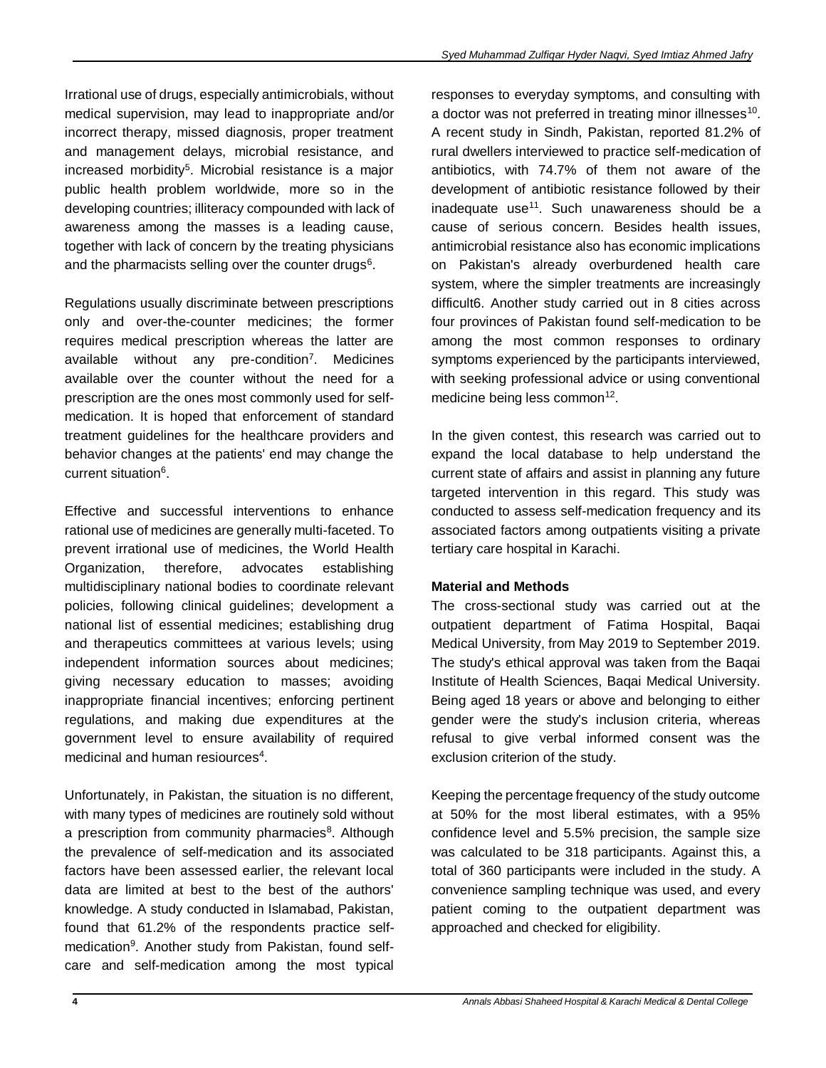Irrational use of drugs, especially antimicrobials, without medical supervision, may lead to inappropriate and/or incorrect therapy, missed diagnosis, proper treatment and management delays, microbial resistance, and increased morbidity<sup>5</sup>. Microbial resistance is a major public health problem worldwide, more so in the developing countries; illiteracy compounded with lack of awareness among the masses is a leading cause, together with lack of concern by the treating physicians and the pharmacists selling over the counter drugs<sup>6</sup>.

Regulations usually discriminate between prescriptions only and over-the-counter medicines; the former requires medical prescription whereas the latter are available without any pre-condition<sup>7</sup>. Medicines available over the counter without the need for a prescription are the ones most commonly used for selfmedication. It is hoped that enforcement of standard treatment guidelines for the healthcare providers and behavior changes at the patients' end may change the current situation<sup>6</sup>.

Effective and successful interventions to enhance rational use of medicines are generally multi-faceted. To prevent irrational use of medicines, the World Health Organization, therefore, advocates establishing multidisciplinary national bodies to coordinate relevant policies, following clinical guidelines; development a national list of essential medicines; establishing drug and therapeutics committees at various levels; using independent information sources about medicines; giving necessary education to masses; avoiding inappropriate financial incentives; enforcing pertinent regulations, and making due expenditures at the government level to ensure availability of required medicinal and human resiources<sup>4</sup>.

Unfortunately, in Pakistan, the situation is no different, with many types of medicines are routinely sold without a prescription from community pharmacies<sup>8</sup>. Although the prevalence of self-medication and its associated factors have been assessed earlier, the relevant local data are limited at best to the best of the authors' knowledge. A study conducted in Islamabad, Pakistan, found that 61.2% of the respondents practice selfmedication<sup>9</sup>. Another study from Pakistan, found selfcare and self-medication among the most typical

responses to everyday symptoms, and consulting with a doctor was not preferred in treating minor illnesses<sup>10</sup>. A recent study in Sindh, Pakistan, reported 81.2% of rural dwellers interviewed to practice self-medication of antibiotics, with 74.7% of them not aware of the development of antibiotic resistance followed by their inadequate use<sup>11</sup>. Such unawareness should be a cause of serious concern. Besides health issues, antimicrobial resistance also has economic implications on Pakistan's already overburdened health care system, where the simpler treatments are increasingly difficult6. Another study carried out in 8 cities across four provinces of Pakistan found self-medication to be among the most common responses to ordinary symptoms experienced by the participants interviewed, with seeking professional advice or using conventional medicine being less common<sup>12</sup>.

In the given contest, this research was carried out to expand the local database to help understand the current state of affairs and assist in planning any future targeted intervention in this regard. This study was conducted to assess self-medication frequency and its associated factors among outpatients visiting a private tertiary care hospital in Karachi.

## **Material and Methods**

The cross-sectional study was carried out at the outpatient department of Fatima Hospital, Baqai Medical University, from May 2019 to September 2019. The study's ethical approval was taken from the Baqai Institute of Health Sciences, Baqai Medical University. Being aged 18 years or above and belonging to either gender were the study's inclusion criteria, whereas refusal to give verbal informed consent was the exclusion criterion of the study.

Keeping the percentage frequency of the study outcome at 50% for the most liberal estimates, with a 95% confidence level and 5.5% precision, the sample size was calculated to be 318 participants. Against this, a total of 360 participants were included in the study. A convenience sampling technique was used, and every patient coming to the outpatient department was approached and checked for eligibility.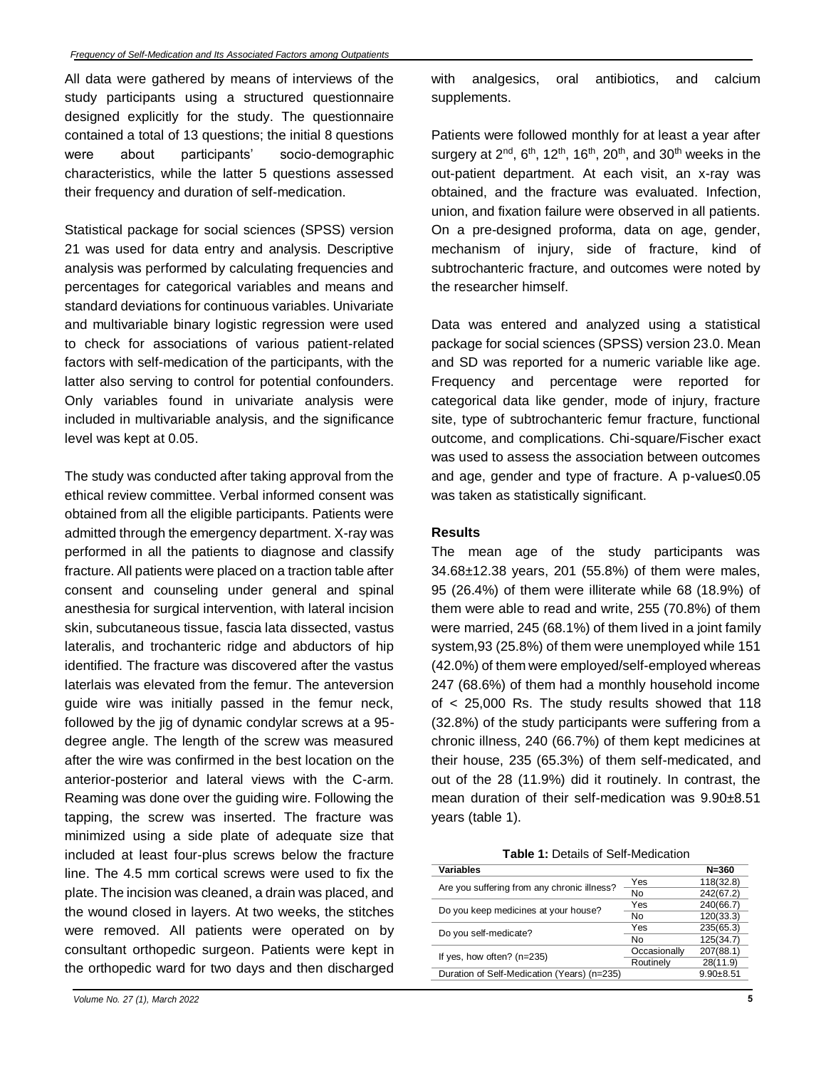All data were gathered by means of interviews of the study participants using a structured questionnaire designed explicitly for the study. The questionnaire contained a total of 13 questions; the initial 8 questions were about participants' socio-demographic characteristics, while the latter 5 questions assessed their frequency and duration of self-medication.

Statistical package for social sciences (SPSS) version 21 was used for data entry and analysis. Descriptive analysis was performed by calculating frequencies and percentages for categorical variables and means and standard deviations for continuous variables. Univariate and multivariable binary logistic regression were used to check for associations of various patient-related factors with self-medication of the participants, with the latter also serving to control for potential confounders. Only variables found in univariate analysis were included in multivariable analysis, and the significance level was kept at 0.05.

The study was conducted after taking approval from the ethical review committee. Verbal informed consent was obtained from all the eligible participants. Patients were admitted through the emergency department. X-ray was performed in all the patients to diagnose and classify fracture. All patients were placed on a traction table after consent and counseling under general and spinal anesthesia for surgical intervention, with lateral incision skin, subcutaneous tissue, fascia lata dissected, vastus lateralis, and trochanteric ridge and abductors of hip identified. The fracture was discovered after the vastus laterlais was elevated from the femur. The anteversion guide wire was initially passed in the femur neck, followed by the jig of dynamic condylar screws at a 95 degree angle. The length of the screw was measured after the wire was confirmed in the best location on the anterior-posterior and lateral views with the C-arm. Reaming was done over the guiding wire. Following the tapping, the screw was inserted. The fracture was minimized using a side plate of adequate size that included at least four-plus screws below the fracture line. The 4.5 mm cortical screws were used to fix the plate. The incision was cleaned, a drain was placed, and the wound closed in layers. At two weeks, the stitches were removed. All patients were operated on by consultant orthopedic surgeon. Patients were kept in the orthopedic ward for two days and then discharged

with analgesics, oral antibiotics, and calcium supplements.

Patients were followed monthly for at least a year after surgery at  $2^{nd}$ ,  $6^{th}$ ,  $12^{th}$ ,  $16^{th}$ ,  $20^{th}$ , and  $30^{th}$  weeks in the out-patient department. At each visit, an x-ray was obtained, and the fracture was evaluated. Infection, union, and fixation failure were observed in all patients. On a pre-designed proforma, data on age, gender, mechanism of injury, side of fracture, kind of subtrochanteric fracture, and outcomes were noted by the researcher himself.

Data was entered and analyzed using a statistical package for social sciences (SPSS) version 23.0. Mean and SD was reported for a numeric variable like age. Frequency and percentage were reported for categorical data like gender, mode of injury, fracture site, type of subtrochanteric femur fracture, functional outcome, and complications. Chi-square/Fischer exact was used to assess the association between outcomes and age, gender and type of fracture. A p-value≤0.05 was taken as statistically significant.

### **Results**

The mean age of the study participants was 34.68±12.38 years, 201 (55.8%) of them were males, 95 (26.4%) of them were illiterate while 68 (18.9%) of them were able to read and write, 255 (70.8%) of them were married, 245 (68.1%) of them lived in a joint family system,93 (25.8%) of them were unemployed while 151 (42.0%) of them were employed/self-employed whereas 247 (68.6%) of them had a monthly household income of < 25,000 Rs. The study results showed that 118 (32.8%) of the study participants were suffering from a chronic illness, 240 (66.7%) of them kept medicines at their house, 235 (65.3%) of them self-medicated, and out of the 28 (11.9%) did it routinely. In contrast, the mean duration of their self-medication was 9.90±8.51 years (table 1).

**Table 1:** Details of Self-Medication

| <b>Variables</b>                            |              | $N = 360$     |
|---------------------------------------------|--------------|---------------|
| Are you suffering from any chronic illness? | Yes          | 118(32.8)     |
|                                             | No           | 242(67.2)     |
| Do you keep medicines at your house?        | Yes          | 240(66.7)     |
|                                             | No           | 120(33.3)     |
| Do you self-medicate?                       | Yes          | 235(65.3)     |
|                                             | No           | 125(34.7)     |
| If yes, how often? $(n=235)$                | Occasionally | 207(88.1)     |
|                                             | Routinely    | 28(11.9)      |
| Duration of Self-Medication (Years) (n=235) |              | $9.90 + 8.51$ |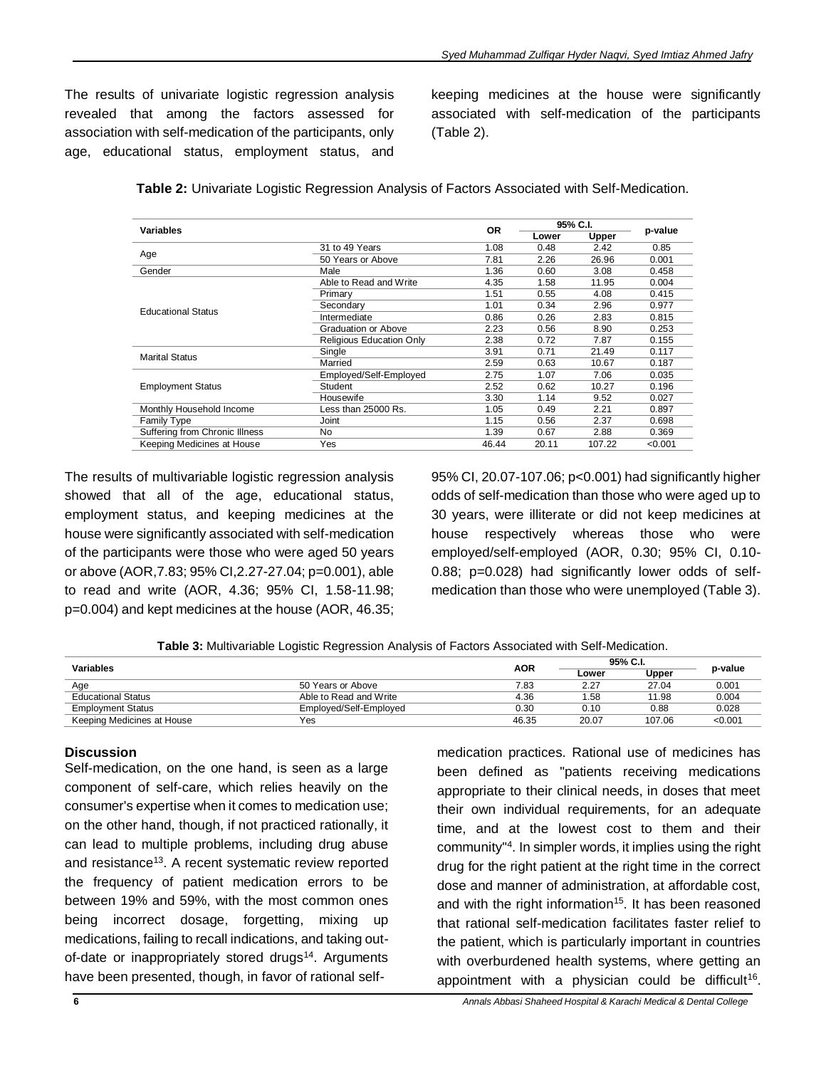The results of univariate logistic regression analysis revealed that among the factors assessed for association with self-medication of the participants, only age, educational status, employment status, and keeping medicines at the house were significantly associated with self-medication of the participants (Table 2).

| Variables                      |                                 | <b>OR</b> | 95% C.I. |        |         |
|--------------------------------|---------------------------------|-----------|----------|--------|---------|
|                                |                                 |           | Lower    | Upper  | p-value |
| Age                            | 31 to 49 Years                  | 1.08      | 0.48     | 2.42   | 0.85    |
|                                | 50 Years or Above               | 7.81      | 2.26     | 26.96  | 0.001   |
| Gender                         | Male                            | 1.36      | 0.60     | 3.08   | 0.458   |
| <b>Educational Status</b>      | Able to Read and Write          | 4.35      | 1.58     | 11.95  | 0.004   |
|                                | Primary                         | 1.51      | 0.55     | 4.08   | 0.415   |
|                                | Secondary                       | 1.01      | 0.34     | 2.96   | 0.977   |
|                                | Intermediate                    | 0.86      | 0.26     | 2.83   | 0.815   |
|                                | <b>Graduation or Above</b>      | 2.23      | 0.56     | 8.90   | 0.253   |
|                                | <b>Religious Education Only</b> | 2.38      | 0.72     | 7.87   | 0.155   |
| <b>Marital Status</b>          | Single                          | 3.91      | 0.71     | 21.49  | 0.117   |
|                                | Married                         | 2.59      | 0.63     | 10.67  | 0.187   |
| <b>Employment Status</b>       | Employed/Self-Employed          | 2.75      | 1.07     | 7.06   | 0.035   |
|                                | <b>Student</b>                  | 2.52      | 0.62     | 10.27  | 0.196   |
|                                | Housewife                       | 3.30      | 1.14     | 9.52   | 0.027   |
| Monthly Household Income       | Less than 25000 Rs.             | 1.05      | 0.49     | 2.21   | 0.897   |
| <b>Family Type</b>             | Joint                           | 1.15      | 0.56     | 2.37   | 0.698   |
| Suffering from Chronic Illness | No.                             | 1.39      | 0.67     | 2.88   | 0.369   |
| Keeping Medicines at House     | Yes                             | 46.44     | 20.11    | 107.22 | < 0.001 |

The results of multivariable logistic regression analysis showed that all of the age, educational status, employment status, and keeping medicines at the house were significantly associated with self-medication of the participants were those who were aged 50 years or above (AOR,7.83; 95% CI,2.27-27.04; p=0.001), able to read and write (AOR, 4.36; 95% CI, 1.58-11.98; p=0.004) and kept medicines at the house (AOR, 46.35;

95% CI, 20.07-107.06; p<0.001) had significantly higher odds of self-medication than those who were aged up to 30 years, were illiterate or did not keep medicines at house respectively whereas those who were employed/self-employed (AOR, 0.30; 95% CI, 0.10- 0.88; p=0.028) had significantly lower odds of selfmedication than those who were unemployed (Table 3).

**Table 3:** Multivariable Logistic Regression Analysis of Factors Associated with Self-Medication.

| Variables                  |                        |            | 95% C.I. |        | p-value |
|----------------------------|------------------------|------------|----------|--------|---------|
|                            |                        | <b>AOR</b> | Lower    | Upper  |         |
| Age                        | 50 Years or Above      | 7.83       | 2.27     | 27.04  | 0.001   |
| <b>Educational Status</b>  | Able to Read and Write | 4.36       | 58، ۱    | 11.98  | 0.004   |
| <b>Employment Status</b>   | Emploved/Self-Emploved | 0.30       | 0.10     | 0.88   | 0.028   |
| Keeping Medicines at House | Yes                    | 46.35      | 20.07    | 107.06 | < 0.001 |

### **Discussion**

Self-medication, on the one hand, is seen as a large component of self-care, which relies heavily on the consumer's expertise when it comes to medication use; on the other hand, though, if not practiced rationally, it can lead to multiple problems, including drug abuse and resistance<sup>13</sup>. A recent systematic review reported the frequency of patient medication errors to be between 19% and 59%, with the most common ones being incorrect dosage, forgetting, mixing up medications, failing to recall indications, and taking outof-date or inappropriately stored drugs<sup>14</sup>. Arguments have been presented, though, in favor of rational selfmedication practices. Rational use of medicines has been defined as "patients receiving medications appropriate to their clinical needs, in doses that meet their own individual requirements, for an adequate time, and at the lowest cost to them and their community"<sup>4</sup> . In simpler words, it implies using the right drug for the right patient at the right time in the correct dose and manner of administration, at affordable cost, and with the right information<sup>15</sup>. It has been reasoned that rational self-medication facilitates faster relief to the patient, which is particularly important in countries with overburdened health systems, where getting an appointment with a physician could be difficult<sup>16</sup>.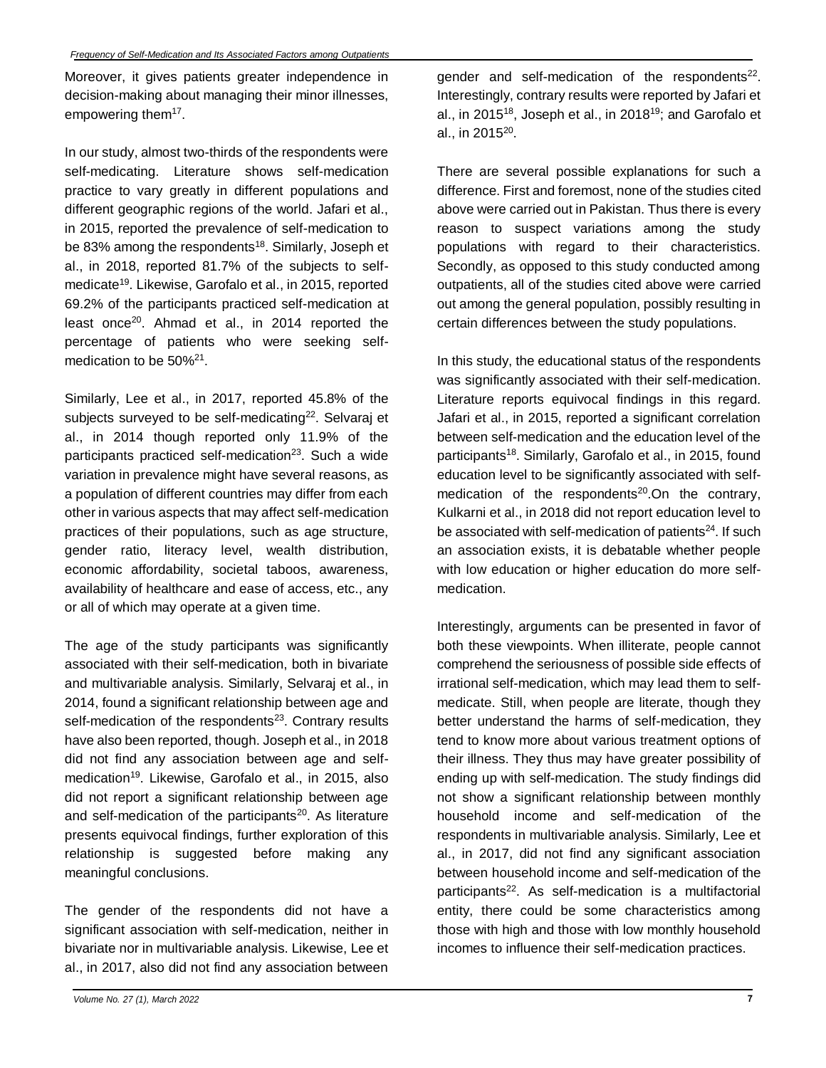Moreover, it gives patients greater independence in decision-making about managing their minor illnesses, empowering them<sup>17</sup>.

In our study, almost two-thirds of the respondents were self-medicating. Literature shows self-medication practice to vary greatly in different populations and different geographic regions of the world. Jafari et al., in 2015, reported the prevalence of self-medication to be 83% among the respondents<sup>18</sup>. Similarly, Joseph et al., in 2018, reported 81.7% of the subjects to selfmedicate<sup>19</sup>. Likewise, Garofalo et al., in 2015, reported 69.2% of the participants practiced self-medication at least once<sup>20</sup>. Ahmad et al., in 2014 reported the percentage of patients who were seeking selfmedication to be 50%<sup>21</sup>.

Similarly, Lee et al., in 2017, reported 45.8% of the subjects surveyed to be self-medicating<sup>22</sup>. Selvaraj et al., in 2014 though reported only 11.9% of the participants practiced self-medication<sup>23</sup>. Such a wide variation in prevalence might have several reasons, as a population of different countries may differ from each other in various aspects that may affect self-medication practices of their populations, such as age structure, gender ratio, literacy level, wealth distribution, economic affordability, societal taboos, awareness, availability of healthcare and ease of access, etc., any or all of which may operate at a given time.

The age of the study participants was significantly associated with their self-medication, both in bivariate and multivariable analysis. Similarly, Selvaraj et al., in 2014, found a significant relationship between age and self-medication of the respondents $23$ . Contrary results have also been reported, though. Joseph et al., in 2018 did not find any association between age and selfmedication<sup>19</sup>. Likewise, Garofalo et al., in 2015, also did not report a significant relationship between age and self-medication of the participants<sup>20</sup>. As literature presents equivocal findings, further exploration of this relationship is suggested before making any meaningful conclusions.

The gender of the respondents did not have a significant association with self-medication, neither in bivariate nor in multivariable analysis. Likewise, Lee et al., in 2017, also did not find any association between

gender and self-medication of the respondents $^{22}$ . Interestingly, contrary results were reported by Jafari et al., in 2015<sup>18</sup>, Joseph et al., in 2018<sup>19</sup>; and Garofalo et al., in 2015<sup>20</sup>.

There are several possible explanations for such a difference. First and foremost, none of the studies cited above were carried out in Pakistan. Thus there is every reason to suspect variations among the study populations with regard to their characteristics. Secondly, as opposed to this study conducted among outpatients, all of the studies cited above were carried out among the general population, possibly resulting in certain differences between the study populations.

In this study, the educational status of the respondents was significantly associated with their self-medication. Literature reports equivocal findings in this regard. Jafari et al., in 2015, reported a significant correlation between self-medication and the education level of the participants<sup>18</sup>. Similarly, Garofalo et al., in 2015, found education level to be significantly associated with selfmedication of the respondents<sup>20</sup>. On the contrary, Kulkarni et al., in 2018 did not report education level to be associated with self-medication of patients<sup>24</sup>. If such an association exists, it is debatable whether people with low education or higher education do more selfmedication.

Interestingly, arguments can be presented in favor of both these viewpoints. When illiterate, people cannot comprehend the seriousness of possible side effects of irrational self-medication, which may lead them to selfmedicate. Still, when people are literate, though they better understand the harms of self-medication, they tend to know more about various treatment options of their illness. They thus may have greater possibility of ending up with self-medication. The study findings did not show a significant relationship between monthly household income and self-medication of the respondents in multivariable analysis. Similarly, Lee et al., in 2017, did not find any significant association between household income and self-medication of the participants<sup>22</sup>. As self-medication is a multifactorial entity, there could be some characteristics among those with high and those with low monthly household incomes to influence their self-medication practices.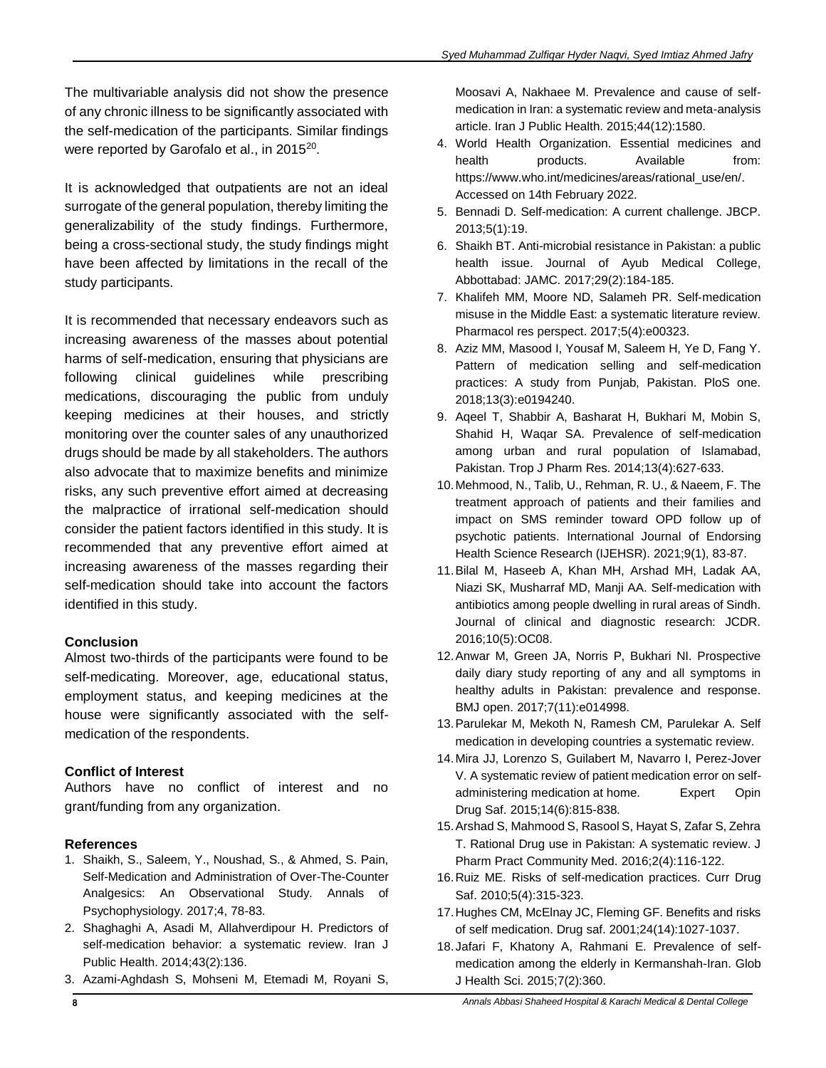The multivariable analysis did not show the presence of any chronic illness to be significantly associated with the self-medication of the participants. Similar findings were reported by Garofalo et al., in 2015<sup>20</sup>.

It is acknowledged that outpatients are not an ideal surrogate of the general population, thereby limiting the generalizability of the study findings. Furthermore, being a cross-sectional study, the study findings might have been affected by limitations in the recall of the study participants.

It is recommended that necessary endeavors such as increasing awareness of the masses about potential harms of self-medication, ensuring that physicians are following clinical guidelines while prescribing medications, discouraging the public from unduly keeping medicines at their houses, and strictly monitoring over the counter sales of any unauthorized drugs should be made by all stakeholders. The authors also advocate that to maximize benefits and minimize risks, any such preventive effort aimed at decreasing the malpractice of irrational self-medication should consider the patient factors identified in this study. It is recommended that any preventive effort aimed at increasing awareness of the masses regarding their self-medication should take into account the factors identified in this study.

## **Conclusion**

Almost two-thirds of the participants were found to be self-medicating. Moreover, age, educational status, employment status, and keeping medicines at the house were significantly associated with the selfmedication of the respondents.

## **Conflict of Interest**

Authors have no conflict of interest and no grant/funding from any organization.

# **References**

- 1. Shaikh, S., Saleem, Y., Noushad, S., & Ahmed, S. Pain, Self-Medication and Administration of Over-The-Counter Analgesics: An Observational Study. Annals of Psychophysiology. 2017;4, 78-83.
- 2. Shaghaghi A, Asadi M, Allahverdipour H. Predictors of self-medication behavior: a systematic review. Iran J Public Health. 2014;43(2):136.
- 3. Azami-Aghdash S, Mohseni M, Etemadi M, Royani S,

Moosavi A, Nakhaee M. Prevalence and cause of selfmedication in Iran: a systematic review and meta-analysis article. Iran J Public Health. 2015;44(12):1580.

- 4. World Health Organization. Essential medicines and health products. Available from: https://www.who.int/medicines/areas/rational\_use/en/. Accessed on 14th February 2022.
- 5. Bennadi D. Self-medication: A current challenge. JBCP. 2013;5(1):19.
- 6. Shaikh BT. Anti-microbial resistance in Pakistan: a public health issue. Journal of Ayub Medical College, Abbottabad: JAMC. 2017;29(2):184-185.
- 7. Khalifeh MM, Moore ND, Salameh PR. Self‐medication misuse in the Middle East: a systematic literature review. Pharmacol res perspect. 2017;5(4):e00323.
- 8. Aziz MM, Masood I, Yousaf M, Saleem H, Ye D, Fang Y. Pattern of medication selling and self-medication practices: A study from Punjab, Pakistan. PloS one. 2018;13(3):e0194240.
- 9. Aqeel T, Shabbir A, Basharat H, Bukhari M, Mobin S, Shahid H, Waqar SA. Prevalence of self-medication among urban and rural population of Islamabad, Pakistan. Trop J Pharm Res. 2014;13(4):627-633.
- 10. Mehmood, N., Talib, U., Rehman, R. U., & Naeem, F. The treatment approach of patients and their families and impact on SMS reminder toward OPD follow up of psychotic patients. International Journal of Endorsing Health Science Research (IJEHSR). 2021;9(1), 83-87.
- 11. Bilal M, Haseeb A, Khan MH, Arshad MH, Ladak AA, Niazi SK, Musharraf MD, Manji AA. Self-medication with antibiotics among people dwelling in rural areas of Sindh. Journal of clinical and diagnostic research: JCDR. 2016;10(5):OC08.
- 12. Anwar M, Green JA, Norris P, Bukhari NI. Prospective daily diary study reporting of any and all symptoms in healthy adults in Pakistan: prevalence and response. BMJ open. 2017;7(11):e014998.
- 13.Parulekar M, Mekoth N, Ramesh CM, Parulekar A. Self medication in developing countries a systematic review.
- 14. Mira JJ, Lorenzo S, Guilabert M, Navarro I, Perez-Jover V. A systematic review of patient medication error on selfadministering medication at home. Expert Opin Drug Saf. 2015;14(6):815-838.
- 15. Arshad S, Mahmood S, Rasool S, Hayat S, Zafar S, Zehra T. Rational Drug use in Pakistan: A systematic review. J Pharm Pract Community Med. 2016;2(4):116-122.
- 16. Ruiz ME. Risks of self-medication practices. Curr Drug Saf. 2010;5(4):315-323.
- 17. Hughes CM, McElnay JC, Fleming GF. Benefits and risks of self medication. Drug saf. 2001;24(14):1027-1037.
- 18. Jafari F, Khatony A, Rahmani E. Prevalence of selfmedication among the elderly in Kermanshah-Iran. Glob J Health Sci. 2015;7(2):360.